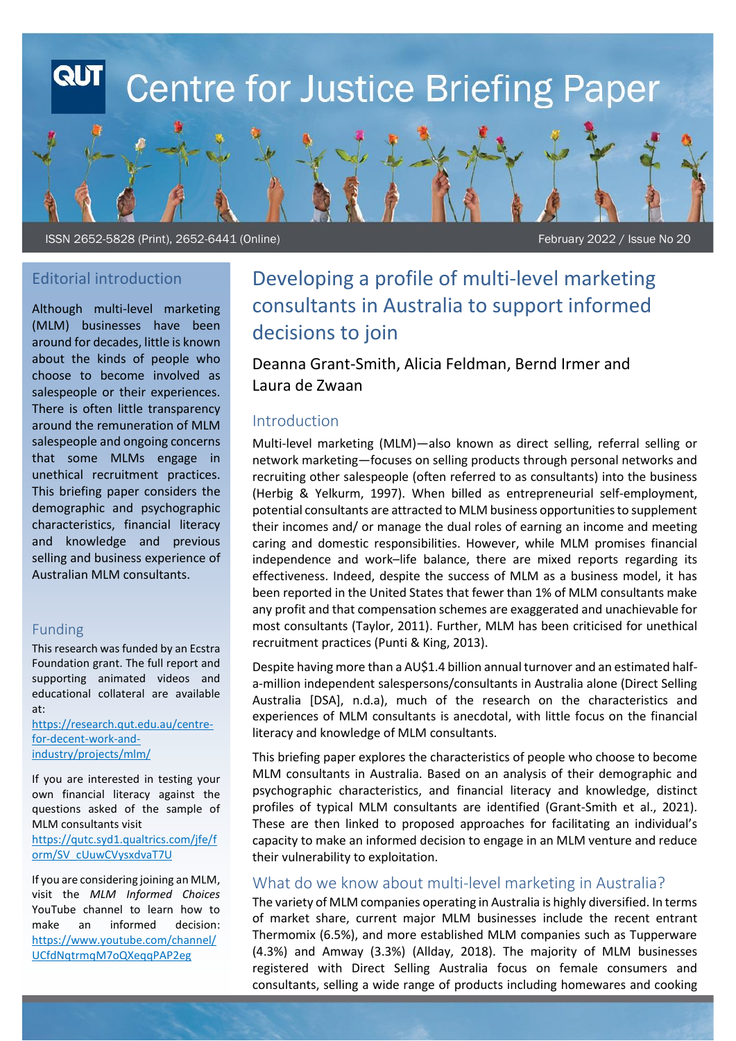# **Centre for Justice Briefing Paper**

ISSN 2652-5828 (Print), 2652-6441 (Online)

February 2022 / Issue No 20

# Editorial introduction

Although multi-level marketing (MLM) businesses have been around for decades, little is known about the kinds of people who choose to become involved as salespeople or their experiences. There is often little transparency around the remuneration of MLM salespeople and ongoing concerns that some MLMs engage in unethical recruitment practices. This briefing paper considers the demographic and psychographic characteristics, financial literacy and knowledge and previous selling and business experience of Australian MLM consultants.

#### Funding

This research was funded by an Ecstra Foundation grant. The full report and supporting animated videos and educational collateral are available at:

[https://research.qut.edu.au/centre](https://research.qut.edu.au/centre-for-decent-work-and-industry/projects/mlm/)[for-decent-work-and](https://research.qut.edu.au/centre-for-decent-work-and-industry/projects/mlm/)[industry/projects/mlm/](https://research.qut.edu.au/centre-for-decent-work-and-industry/projects/mlm/) 

If you are interested in testing your own financial literacy against the questions asked of the sample of MLM consultants visit [https://qutc.syd1.qualtrics.com/jfe/f](https://qutc.syd1.qualtrics.com/jfe/form/SV_cUuwCVysxdvaT7U) [orm/SV\\_cUuwCVysxdvaT7U](https://qutc.syd1.qualtrics.com/jfe/form/SV_cUuwCVysxdvaT7U)

If you are considering joining an MLM, visit the *MLM Informed Choices* YouTube channel to learn how to make an informed decision: [https://www.youtube.com/channel/](https://www.youtube.com/channel/UCfdNqtrmqM7oQXeqqPAP2eg) UCfdNatrmaM7oQXeaaPAP2eg

# Developing a profile of multi-level marketing consultants in Australia to support informed decisions to join

Deanna Grant-Smith, Alicia Feldman, Bernd Irmer and Laura de Zwaan

# Introduction

Multi-level marketing (MLM)—also known as direct selling, referral selling or network marketing—focuses on selling products through personal networks and recruiting other salespeople (often referred to as consultants) into the business (Herbig & Yelkurm, 1997). When billed as entrepreneurial self-employment, potential consultants are attracted to MLM business opportunities to supplement their incomes and/ or manage the dual roles of earning an income and meeting caring and domestic responsibilities. However, while MLM promises financial independence and work–life balance, there are mixed reports regarding its effectiveness. Indeed, despite the success of MLM as a business model, it has been reported in the United States that fewer than 1% of MLM consultants make any profit and that compensation schemes are exaggerated and unachievable for most consultants (Taylor, 2011). Further, MLM has been criticised for unethical recruitment practices (Punti & King, 2013).

Despite having more than a AU\$1.4 billion annual turnover and an estimated halfa-million independent salespersons/consultants in Australia alone (Direct Selling Australia [DSA], n.d.a), much of the research on the characteristics and experiences of MLM consultants is anecdotal, with little focus on the financial literacy and knowledge of MLM consultants.

This briefing paper explores the characteristics of people who choose to become MLM consultants in Australia. Based on an analysis of their demographic and psychographic characteristics, and financial literacy and knowledge, distinct profiles of typical MLM consultants are identified (Grant-Smith et al., 2021). These are then linked to proposed approaches for facilitating an individual's capacity to make an informed decision to engage in an MLM venture and reduce their vulnerability to exploitation.

### What do we know about multi-level marketing in Australia?

The variety of MLM companies operating in Australia is highly diversified. In terms of market share, current major MLM businesses include the recent entrant Thermomix (6.5%), and more established MLM companies such as Tupperware (4.3%) and Amway (3.3%) (Allday, 2018). The majority of MLM businesses registered with Direct Selling Australia focus on female consumers and consultants, selling a wide range of products including homewares and cooking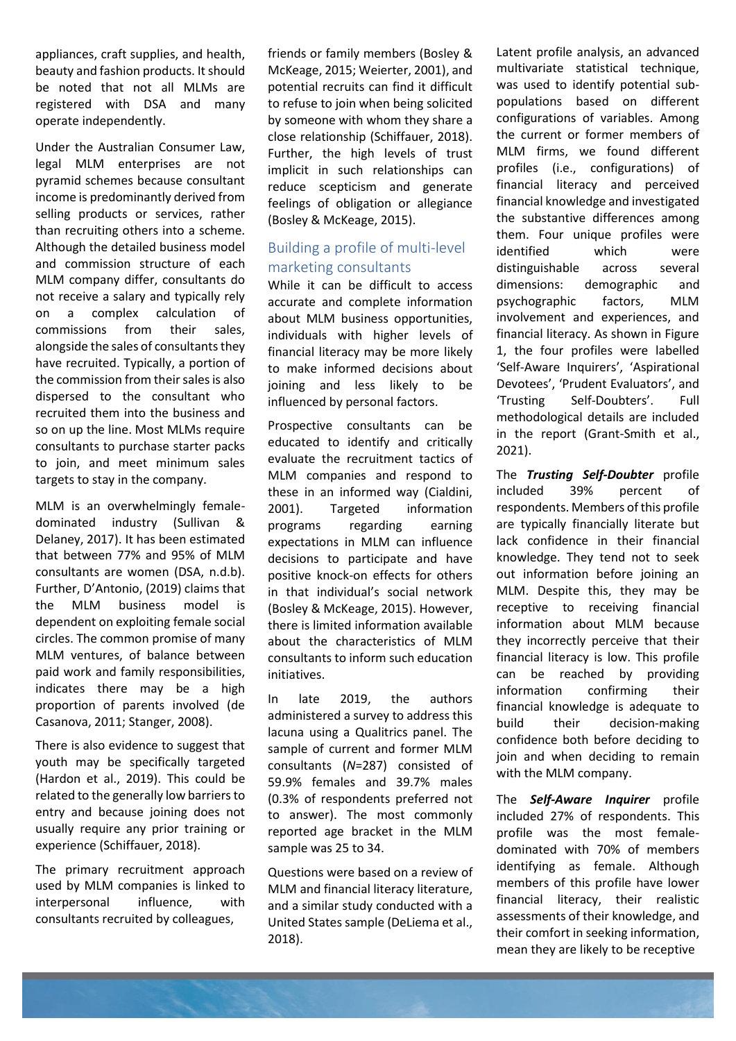appliances, craft supplies, and health, beauty and fashion products. It should be noted that not all MLMs are registered with DSA and many operate independently.

Under the Australian Consumer Law, legal MLM enterprises are not pyramid schemes because consultant income is predominantly derived from selling products or services, rather than recruiting others into a scheme. Although the detailed business model and commission structure of each MLM company differ, consultants do not receive a salary and typically rely on a complex calculation of commissions from their sales, alongside the sales of consultants they have recruited. Typically, a portion of the commission from their sales is also dispersed to the consultant who recruited them into the business and so on up the line. Most MLMs require consultants to purchase starter packs to join, and meet minimum sales targets to stay in the company.

MLM is an overwhelmingly femaledominated industry (Sullivan & Delaney, 2017). It has been estimated that between 77% and 95% of MLM consultants are women (DSA, n.d.b). Further, D'Antonio, (2019) claims that the MLM business model is dependent on exploiting female social circles. The common promise of many MLM ventures, of balance between paid work and family responsibilities, indicates there may be a high proportion of parents involved (de Casanova, 2011; Stanger, 2008).

There is also evidence to suggest that youth may be specifically targeted (Hardon et al., 2019). This could be related to the generally low barriers to entry and because joining does not usually require any prior training or experience (Schiffauer, 2018).

The primary recruitment approach used by MLM companies is linked to interpersonal influence, with consultants recruited by colleagues,

friends or family members (Bosley & McKeage, 2015; Weierter, 2001), and potential recruits can find it difficult to refuse to join when being solicited by someone with whom they share a close relationship (Schiffauer, 2018). Further, the high levels of trust implicit in such relationships can reduce scepticism and generate feelings of obligation or allegiance (Bosley & McKeage, 2015).

# Building a profile of multi-level marketing consultants

While it can be difficult to access accurate and complete information about MLM business opportunities, individuals with higher levels of financial literacy may be more likely to make informed decisions about joining and less likely to be influenced by personal factors.

Prospective consultants can be educated to identify and critically evaluate the recruitment tactics of MLM companies and respond to these in an informed way (Cialdini, 2001). Targeted information programs regarding earning expectations in MLM can influence decisions to participate and have positive knock-on effects for others in that individual's social network (Bosley & McKeage, 2015). However, there is limited information available about the characteristics of MLM consultants to inform such education initiatives.

In late 2019, the authors administered a survey to address this lacuna using a Qualitrics panel. The sample of current and former MLM consultants (*N*=287) consisted of 59.9% females and 39.7% males (0.3% of respondents preferred not to answer). The most commonly reported age bracket in the MLM sample was 25 to 34.

Questions were based on a review of MLM and financial literacy literature, and a similar study conducted with a United States sample (DeLiema et al., 2018).

Latent profile analysis, an advanced multivariate statistical technique, was used to identify potential subpopulations based on different configurations of variables. Among the current or former members of MLM firms, we found different profiles (i.e., configurations) of financial literacy and perceived financial knowledge and investigated the substantive differences among them. Four unique profiles were identified which were distinguishable across several dimensions: demographic and psychographic factors, MLM involvement and experiences, and financial literacy. As shown in Figure 1, the four profiles were labelled 'Self-Aware Inquirers', 'Aspirational Devotees', 'Prudent Evaluators', and 'Trusting Self-Doubters'. Full methodological details are included in the report (Grant-Smith et al., 2021).

The *Trusting Self-Doubter* profile included 39% percent of respondents. Members of this profile are typically financially literate but lack confidence in their financial knowledge. They tend not to seek out information before joining an MLM. Despite this, they may be receptive to receiving financial information about MLM because they incorrectly perceive that their financial literacy is low. This profile can be reached by providing information confirming their financial knowledge is adequate to build their decision-making confidence both before deciding to join and when deciding to remain with the MLM company.

The *Self-Aware Inquirer* profile included 27% of respondents. This profile was the most femaledominated with 70% of members identifying as female. Although members of this profile have lower financial literacy, their realistic assessments of their knowledge, and their comfort in seeking information, mean they are likely to be receptive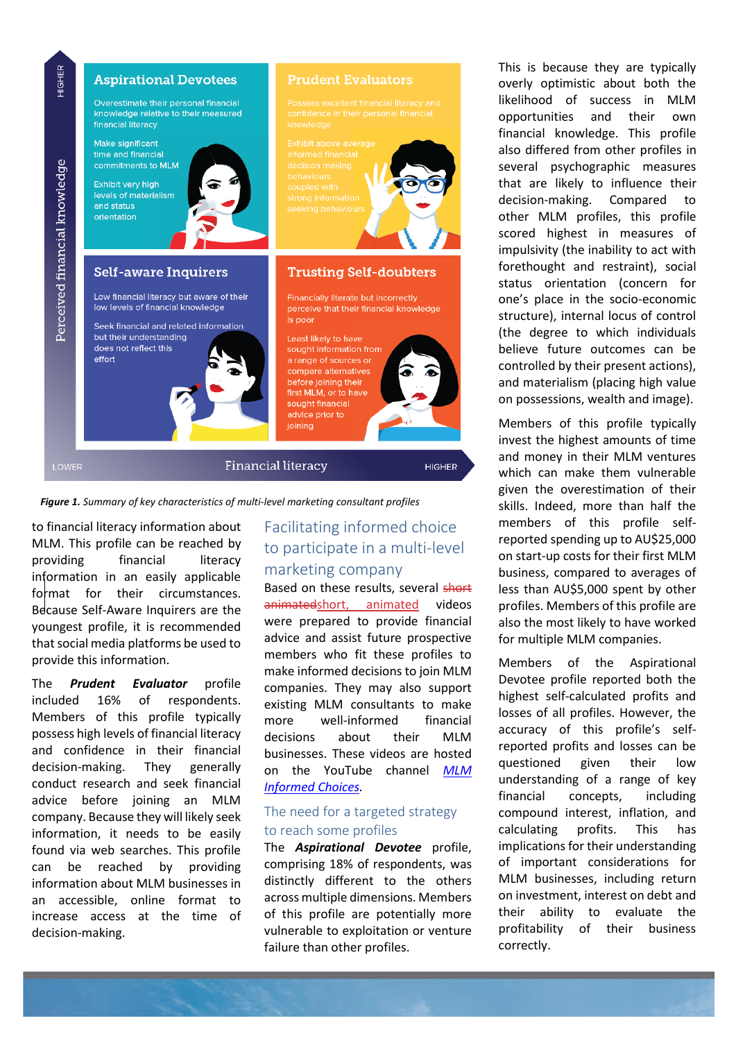

*Figure 1. Summary of key characteristics of multi-level marketing consultant profiles*

to financial literacy information about MLM. This profile can be reached by providing financial literacy information in an easily applicable format for their circumstances. Because Self-Aware Inquirers are the youngest profile, it is recommended that social media platforms be used to provide this information.

The *Prudent Evaluator* profile included 16% of respondents. Members of this profile typically possess high levels of financial literacy and confidence in their financial decision-making. They generally conduct research and seek financial advice before joining an MLM company. Because they will likely seek information, it needs to be easily found via web searches. This profile can be reached by providing information about MLM businesses in an accessible, online format to increase access at the time of decision-making.

# Facilitating informed choice to participate in a multi-level marketing company

Based on these results, several short animatedshort, animated videos were prepared to provide financial advice and assist future prospective members who fit these profiles to make informed decisions to join MLM companies. They may also support existing MLM consultants to make more well-informed financial decisions about their MLM businesses. These videos are hosted on the YouTube channel *[MLM](https://www.youtube.com/channel/UCfdNqtrmqM7oQXeqqPAP2eg)  [Informed Choices.](https://www.youtube.com/channel/UCfdNqtrmqM7oQXeqqPAP2eg)*

### The need for a targeted strategy to reach some profiles

The *Aspirational Devotee* profile, comprising 18% of respondents, was distinctly different to the others across multiple dimensions. Members of this profile are potentially more vulnerable to exploitation or venture failure than other profiles.

This is because they are typically overly optimistic about both the likelihood of success in MLM opportunities and their own financial knowledge. This profile also differed from other profiles in several psychographic measures that are likely to influence their decision-making. Compared to other MLM profiles, this profile scored highest in measures of impulsivity (the inability to act with forethought and restraint), social status orientation (concern for one's place in the socio-economic structure), internal locus of control (the degree to which individuals believe future outcomes can be controlled by their present actions), and materialism (placing high value on possessions, wealth and image).

Members of this profile typically invest the highest amounts of time and money in their MLM ventures which can make them vulnerable given the overestimation of their skills. Indeed, more than half the members of this profile selfreported spending up to AU\$25,000 on start-up costs for their first MLM business, compared to averages of less than AU\$5,000 spent by other profiles. Members of this profile are also the most likely to have worked for multiple MLM companies.

Members of the Aspirational Devotee profile reported both the highest self-calculated profits and losses of all profiles. However, the accuracy of this profile's selfreported profits and losses can be questioned given their low understanding of a range of key financial concepts, including compound interest, inflation, and calculating profits. This has implications for their understanding of important considerations for MLM businesses, including return on investment, interest on debt and their ability to evaluate the profitability of their business correctly.